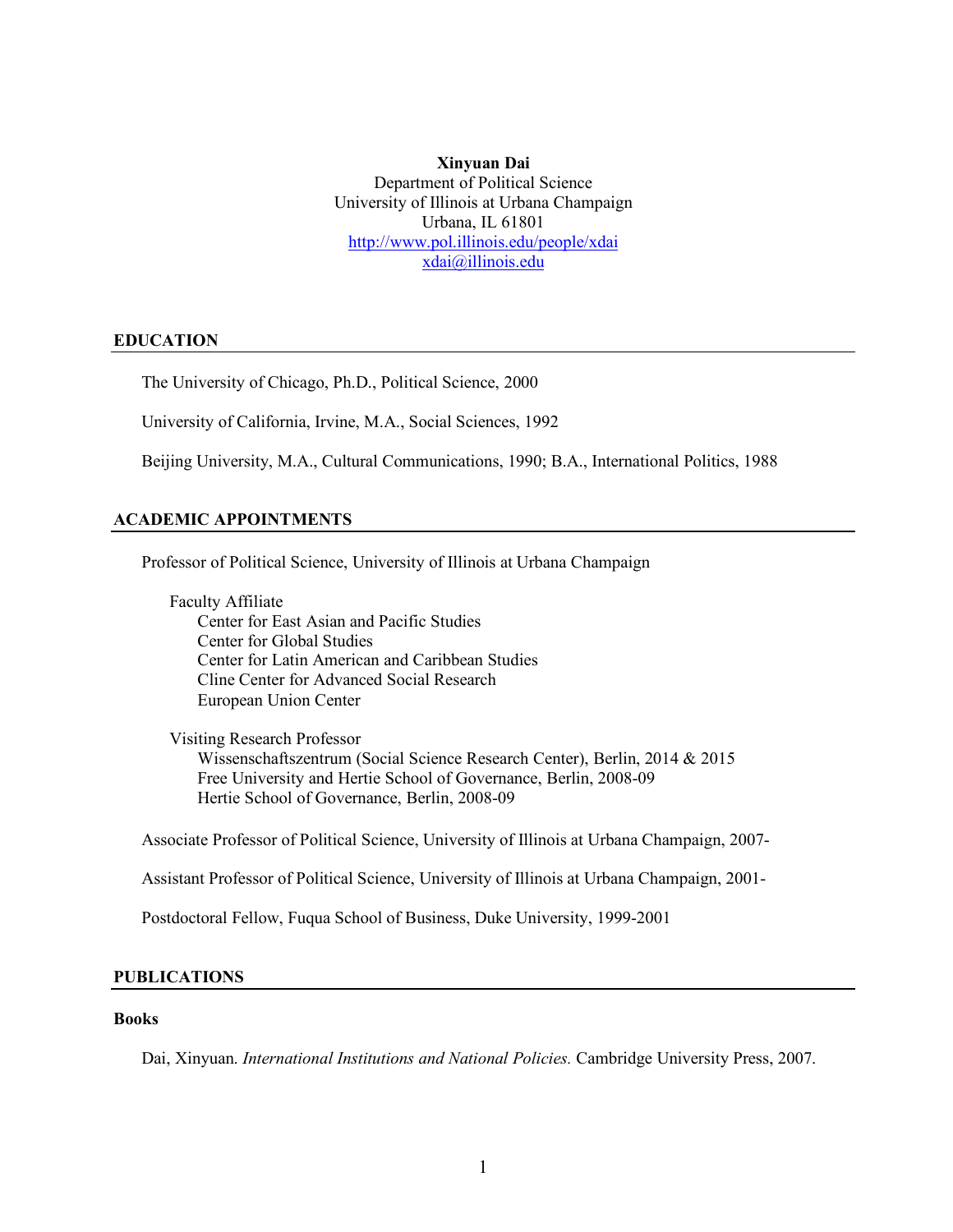**Xinyuan Dai** Department of Political Science University of Illinois at Urbana Champaign Urbana, IL 61801 http://www.pol.illinois.edu/people/xdai xdai@illinois.edu

#### **EDUCATION**

The University of Chicago, Ph.D., Political Science, 2000

University of California, Irvine, M.A., Social Sciences, 1992

Beijing University, M.A., Cultural Communications, 1990; B.A., International Politics, 1988

### **ACADEMIC APPOINTMENTS**

Professor of Political Science, University of Illinois at Urbana Champaign

Faculty Affiliate Center for East Asian and Pacific Studies Center for Global Studies Center for Latin American and Caribbean Studies Cline Center for Advanced Social Research European Union Center

Visiting Research Professor Wissenschaftszentrum (Social Science Research Center), Berlin, 2014 & 2015 Free University and Hertie School of Governance, Berlin, 2008-09 Hertie School of Governance, Berlin, 2008-09

Associate Professor of Political Science, University of Illinois at Urbana Champaign, 2007-

Assistant Professor of Political Science, University of Illinois at Urbana Champaign, 2001-

Postdoctoral Fellow, Fuqua School of Business, Duke University, 1999-2001

### **PUBLICATIONS**

### **Books**

Dai, Xinyuan. *International Institutions and National Policies.* Cambridge University Press, 2007.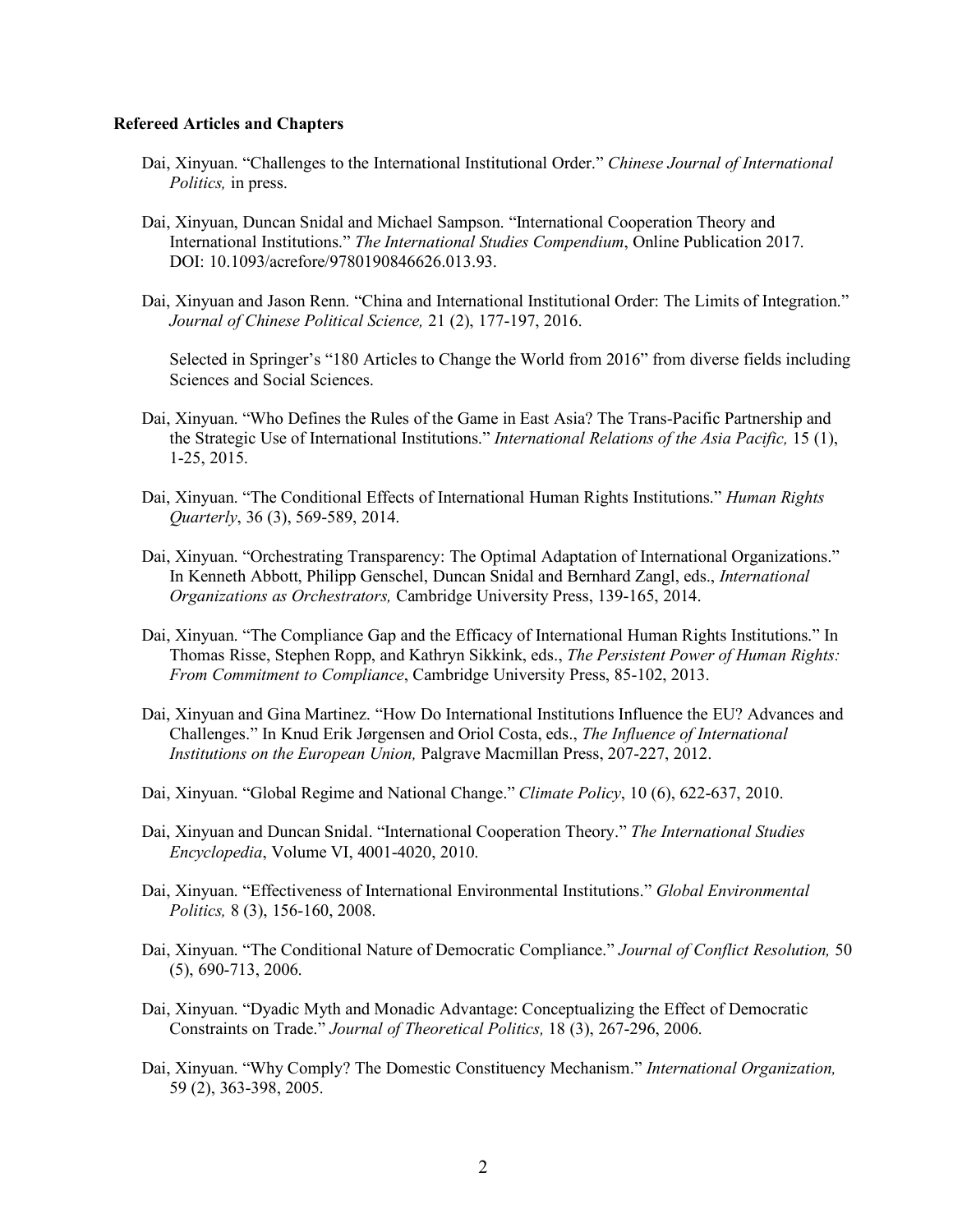#### **Refereed Articles and Chapters**

- Dai, Xinyuan. "Challenges to the International Institutional Order." *Chinese Journal of International Politics,* in press.
- Dai, Xinyuan, Duncan Snidal and Michael Sampson. "International Cooperation Theory and International Institutions." *The International Studies Compendium*, Online Publication 2017. DOI: 10.1093/acrefore/9780190846626.013.93.
- Dai, Xinyuan and Jason Renn. "China and International Institutional Order: The Limits of Integration." *Journal of Chinese Political Science,* 21 (2), 177-197, 2016.

Selected in Springer's "180 Articles to Change the World from 2016" from diverse fields including Sciences and Social Sciences.

- Dai, Xinyuan. "Who Defines the Rules of the Game in East Asia? The Trans-Pacific Partnership and the Strategic Use of International Institutions." *International Relations of the Asia Pacific,* 15 (1), 1-25, 2015.
- Dai, Xinyuan. "The Conditional Effects of International Human Rights Institutions." *Human Rights Quarterly*, 36 (3), 569-589, 2014.
- Dai, Xinyuan. "Orchestrating Transparency: The Optimal Adaptation of International Organizations." In Kenneth Abbott, Philipp Genschel, Duncan Snidal and Bernhard Zangl, eds., *International Organizations as Orchestrators,* Cambridge University Press, 139-165, 2014.
- Dai, Xinyuan. "The Compliance Gap and the Efficacy of International Human Rights Institutions." In Thomas Risse, Stephen Ropp, and Kathryn Sikkink, eds., *The Persistent Power of Human Rights: From Commitment to Compliance*, Cambridge University Press, 85-102, 2013.
- Dai, Xinyuan and Gina Martinez. "How Do International Institutions Influence the EU? Advances and Challenges." In Knud Erik Jørgensen and Oriol Costa, eds., *The Influence of International Institutions on the European Union,* Palgrave Macmillan Press, 207-227, 2012.
- Dai, Xinyuan. "Global Regime and National Change." *Climate Policy*, 10 (6), 622-637, 2010.
- Dai, Xinyuan and Duncan Snidal. "International Cooperation Theory." *The International Studies Encyclopedia*, Volume VI, 4001-4020, 2010.
- Dai, Xinyuan. "Effectiveness of International Environmental Institutions." *Global Environmental Politics,* 8 (3), 156-160, 2008.
- Dai, Xinyuan. "The Conditional Nature of Democratic Compliance." *Journal of Conflict Resolution,* 50 (5), 690-713, 2006.
- Dai, Xinyuan. "Dyadic Myth and Monadic Advantage: Conceptualizing the Effect of Democratic Constraints on Trade." *Journal of Theoretical Politics,* 18 (3), 267-296, 2006.
- Dai, Xinyuan. "Why Comply? The Domestic Constituency Mechanism." *International Organization,* 59 (2), 363-398, 2005.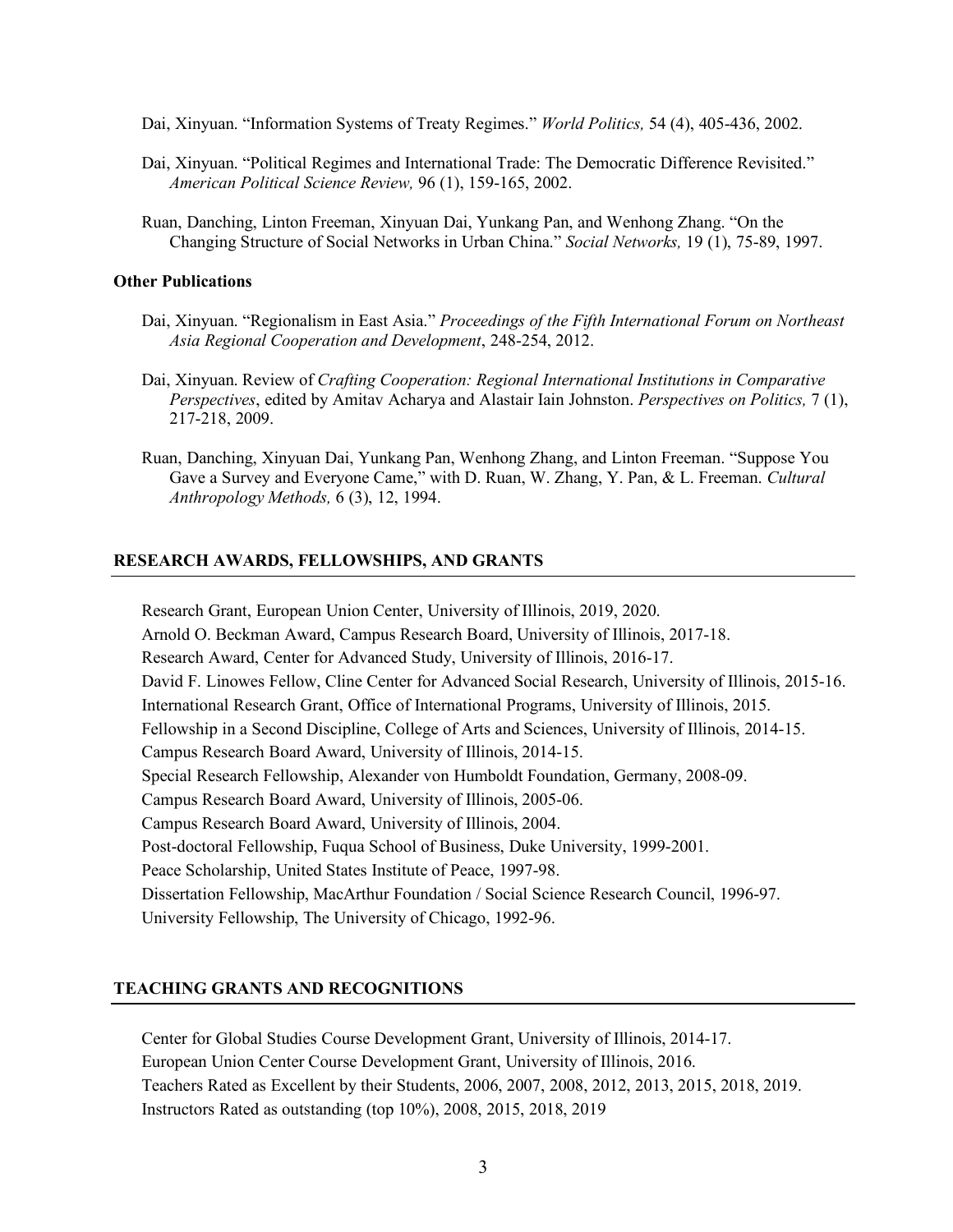- Dai, Xinyuan. "Information Systems of Treaty Regimes." *World Politics,* 54 (4), 405-436, 2002.
- Dai, Xinyuan. "Political Regimes and International Trade: The Democratic Difference Revisited." *American Political Science Review,* 96 (1), 159-165, 2002.
- Ruan, Danching, Linton Freeman, Xinyuan Dai, Yunkang Pan, and Wenhong Zhang. "On the Changing Structure of Social Networks in Urban China." *Social Networks,* 19 (1), 75-89, 1997.

### **Other Publications**

- Dai, Xinyuan. "Regionalism in East Asia." *Proceedings of the Fifth International Forum on Northeast Asia Regional Cooperation and Development*, 248-254, 2012.
- Dai, Xinyuan. Review of *Crafting Cooperation: Regional International Institutions in Comparative Perspectives*, edited by Amitav Acharya and Alastair Iain Johnston. *Perspectives on Politics,* 7 (1), 217-218, 2009.
- Ruan, Danching, Xinyuan Dai, Yunkang Pan, Wenhong Zhang, and Linton Freeman. "Suppose You Gave a Survey and Everyone Came," with D. Ruan, W. Zhang, Y. Pan, & L. Freeman. *Cultural Anthropology Methods,* 6 (3), 12, 1994.

### **RESEARCH AWARDS, FELLOWSHIPS, AND GRANTS**

Research Grant, European Union Center, University of Illinois, 2019, 2020. Arnold O. Beckman Award, Campus Research Board, University of Illinois, 2017-18. Research Award, Center for Advanced Study, University of Illinois, 2016-17. David F. Linowes Fellow, Cline Center for Advanced Social Research, University of Illinois, 2015-16. International Research Grant, Office of International Programs, University of Illinois, 2015. Fellowship in a Second Discipline, College of Arts and Sciences, University of Illinois, 2014-15. Campus Research Board Award, University of Illinois, 2014-15. Special Research Fellowship, Alexander von Humboldt Foundation, Germany, 2008-09. Campus Research Board Award, University of Illinois, 2005-06. Campus Research Board Award, University of Illinois, 2004. Post-doctoral Fellowship, Fuqua School of Business, Duke University, 1999-2001. Peace Scholarship, United States Institute of Peace, 1997-98. Dissertation Fellowship, MacArthur Foundation / Social Science Research Council, 1996-97. University Fellowship, The University of Chicago, 1992-96.

# **TEACHING GRANTS AND RECOGNITIONS**

Center for Global Studies Course Development Grant, University of Illinois, 2014-17. European Union Center Course Development Grant, University of Illinois, 2016. Teachers Rated as Excellent by their Students, 2006, 2007, 2008, 2012, 2013, 2015, 2018, 2019. Instructors Rated as outstanding (top 10%), 2008, 2015, 2018, 2019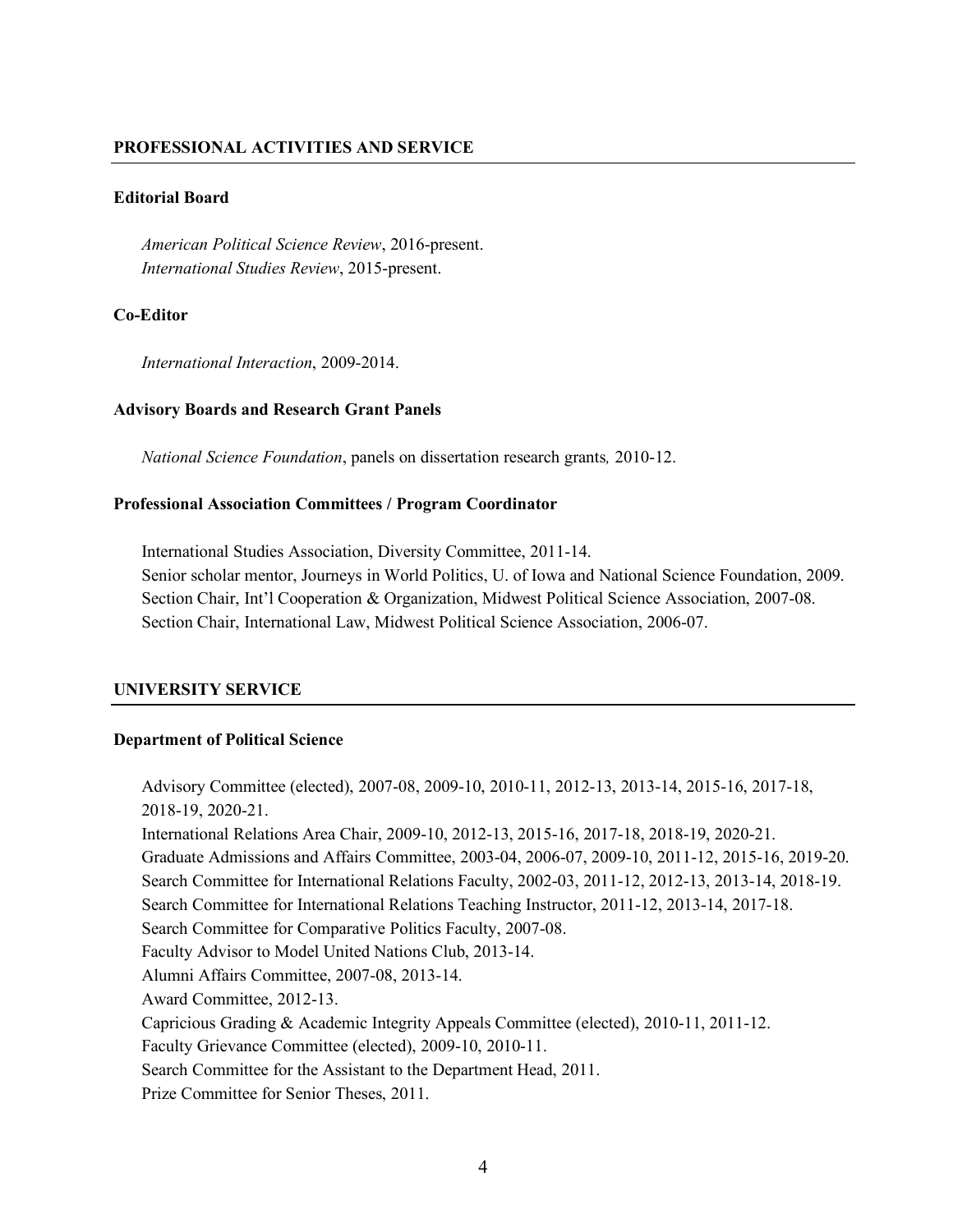# **PROFESSIONAL ACTIVITIES AND SERVICE**

# **Editorial Board**

*American Political Science Review*, 2016-present. *International Studies Review*, 2015-present.

# **Co-Editor**

*International Interaction*, 2009-2014.

# **Advisory Boards and Research Grant Panels**

*National Science Foundation*, panels on dissertation research grants*,* 2010-12.

# **Professional Association Committees / Program Coordinator**

International Studies Association, Diversity Committee, 2011-14.

Senior scholar mentor, Journeys in World Politics, U. of Iowa and National Science Foundation, 2009. Section Chair, Int'l Cooperation & Organization, Midwest Political Science Association, 2007-08. Section Chair, International Law, Midwest Political Science Association, 2006-07.

# **UNIVERSITY SERVICE**

# **Department of Political Science**

Advisory Committee (elected), 2007-08, 2009-10, 2010-11, 2012-13, 2013-14, 2015-16, 2017-18, 2018-19, 2020-21. International Relations Area Chair, 2009-10, 2012-13, 2015-16, 2017-18, 2018-19, 2020-21. Graduate Admissions and Affairs Committee, 2003-04, 2006-07, 2009-10, 2011-12, 2015-16, 2019-20. Search Committee for International Relations Faculty, 2002-03, 2011-12, 2012-13, 2013-14, 2018-19. Search Committee for International Relations Teaching Instructor, 2011-12, 2013-14, 2017-18. Search Committee for Comparative Politics Faculty, 2007-08. Faculty Advisor to Model United Nations Club, 2013-14. Alumni Affairs Committee, 2007-08, 2013-14. Award Committee, 2012-13. Capricious Grading & Academic Integrity Appeals Committee (elected), 2010-11, 2011-12. Faculty Grievance Committee (elected), 2009-10, 2010-11. Search Committee for the Assistant to the Department Head, 2011. Prize Committee for Senior Theses, 2011.